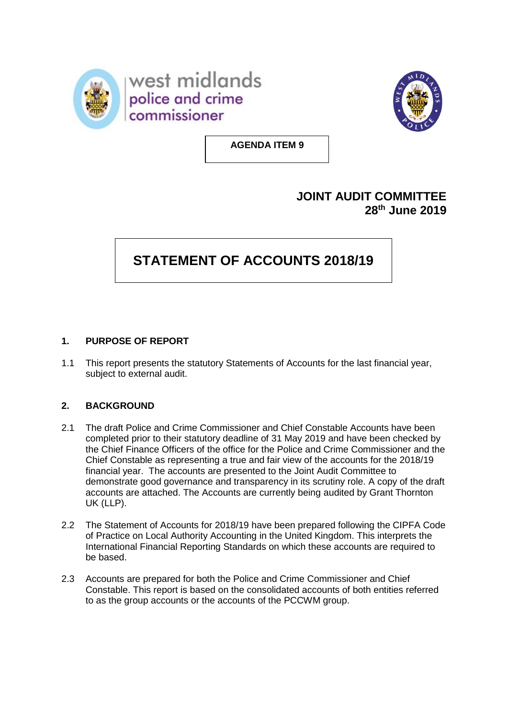



**AGENDA ITEM 9**

## **JOINT AUDIT COMMITTEE 28 th June 2019**

# **STATEMENT OF ACCOUNTS 2018/19**

### **1. PURPOSE OF REPORT**

1.1 This report presents the statutory Statements of Accounts for the last financial year, subject to external audit.

#### **2. BACKGROUND**

- 2.1 The draft Police and Crime Commissioner and Chief Constable Accounts have been completed prior to their statutory deadline of 31 May 2019 and have been checked by the Chief Finance Officers of the office for the Police and Crime Commissioner and the Chief Constable as representing a true and fair view of the accounts for the 2018/19 financial year. The accounts are presented to the Joint Audit Committee to demonstrate good governance and transparency in its scrutiny role. A copy of the draft accounts are attached. The Accounts are currently being audited by Grant Thornton UK (LLP).
- 2.2 The Statement of Accounts for 2018/19 have been prepared following the CIPFA Code of Practice on Local Authority Accounting in the United Kingdom. This interprets the International Financial Reporting Standards on which these accounts are required to be based.
- 2.3 Accounts are prepared for both the Police and Crime Commissioner and Chief Constable. This report is based on the consolidated accounts of both entities referred to as the group accounts or the accounts of the PCCWM group.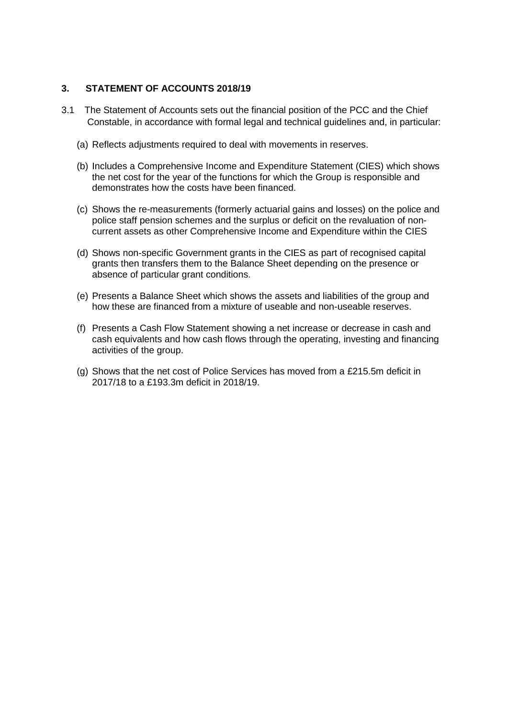#### **3. STATEMENT OF ACCOUNTS 2018/19**

- 3.1 The Statement of Accounts sets out the financial position of the PCC and the Chief Constable, in accordance with formal legal and technical guidelines and, in particular:
	- (a) Reflects adjustments required to deal with movements in reserves.
	- (b) Includes a Comprehensive Income and Expenditure Statement (CIES) which shows the net cost for the year of the functions for which the Group is responsible and demonstrates how the costs have been financed.
	- (c) Shows the re-measurements (formerly actuarial gains and losses) on the police and police staff pension schemes and the surplus or deficit on the revaluation of noncurrent assets as other Comprehensive Income and Expenditure within the CIES
	- (d) Shows non-specific Government grants in the CIES as part of recognised capital grants then transfers them to the Balance Sheet depending on the presence or absence of particular grant conditions.
	- (e) Presents a Balance Sheet which shows the assets and liabilities of the group and how these are financed from a mixture of useable and non-useable reserves.
	- (f) Presents a Cash Flow Statement showing a net increase or decrease in cash and cash equivalents and how cash flows through the operating, investing and financing activities of the group.
	- (g) Shows that the net cost of Police Services has moved from a £215.5m deficit in 2017/18 to a £193.3m deficit in 2018/19.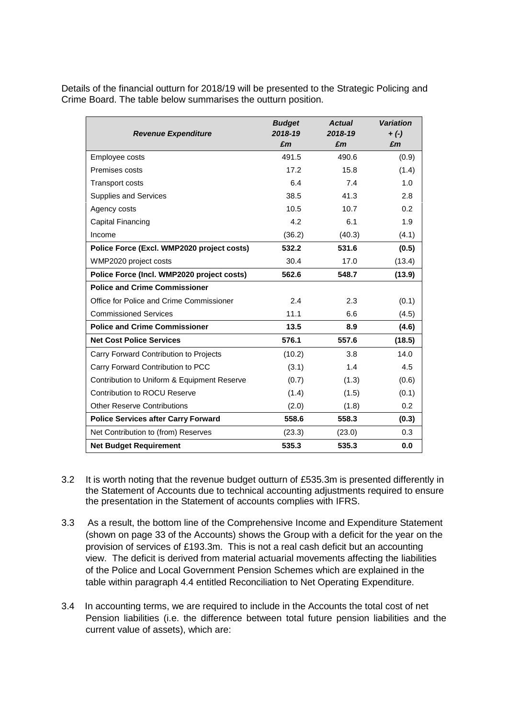Details of the financial outturn for 2018/19 will be presented to the Strategic Policing and Crime Board. The table below summarises the outturn position.

| <b>Revenue Expenditure</b>                  | <b>Budget</b><br>2018-19<br>£m | <b>Actual</b><br>2018-19<br>£m | <b>Variation</b><br>$+ (-)$<br>£m |
|---------------------------------------------|--------------------------------|--------------------------------|-----------------------------------|
| Employee costs                              | 491.5                          | 490.6                          | (0.9)                             |
| Premises costs                              | 17.2                           | 15.8                           | (1.4)                             |
| <b>Transport costs</b>                      | 6.4                            | 7.4                            | 1.0                               |
| <b>Supplies and Services</b>                | 38.5                           | 41.3                           | 2.8                               |
| Agency costs                                | 10.5                           | 10.7                           | 0.2                               |
| Capital Financing                           | 4.2                            | 6.1                            | 1.9                               |
| Income                                      | (36.2)                         | (40.3)                         | (4.1)                             |
| Police Force (Excl. WMP2020 project costs)  | 532.2                          | 531.6                          | (0.5)                             |
| WMP2020 project costs                       | 30.4                           | 17.0                           | (13.4)                            |
| Police Force (Incl. WMP2020 project costs)  | 562.6                          | 548.7                          | (13.9)                            |
| <b>Police and Crime Commissioner</b>        |                                |                                |                                   |
| Office for Police and Crime Commissioner    | 2.4                            | 2.3                            | (0.1)                             |
| <b>Commissioned Services</b>                | 11.1                           | 6.6                            | (4.5)                             |
| <b>Police and Crime Commissioner</b>        | 13.5                           | 8.9                            | (4.6)                             |
| <b>Net Cost Police Services</b>             | 576.1                          | 557.6                          | (18.5)                            |
| Carry Forward Contribution to Projects      | (10.2)                         | 3.8                            | 14.0                              |
| Carry Forward Contribution to PCC           | (3.1)                          | 1.4                            | 4.5                               |
| Contribution to Uniform & Equipment Reserve | (0.7)                          | (1.3)                          | (0.6)                             |
| <b>Contribution to ROCU Reserve</b>         | (1.4)                          | (1.5)                          | (0.1)                             |
| <b>Other Reserve Contributions</b>          | (2.0)                          | (1.8)                          | 0.2                               |
| <b>Police Services after Carry Forward</b>  | 558.6                          | 558.3                          | (0.3)                             |
| Net Contribution to (from) Reserves         | (23.3)                         | (23.0)                         | 0.3                               |
| <b>Net Budget Requirement</b>               | 535.3                          | 535.3                          | 0.0                               |

- 3.2 It is worth noting that the revenue budget outturn of £535.3m is presented differently in the Statement of Accounts due to technical accounting adjustments required to ensure the presentation in the Statement of accounts complies with IFRS.
- 3.3 As a result, the bottom line of the Comprehensive Income and Expenditure Statement (shown on page 33 of the Accounts) shows the Group with a deficit for the year on the provision of services of £193.3m. This is not a real cash deficit but an accounting view. The deficit is derived from material actuarial movements affecting the liabilities of the Police and Local Government Pension Schemes which are explained in the table within paragraph 4.4 entitled Reconciliation to Net Operating Expenditure.
- 3.4 In accounting terms, we are required to include in the Accounts the total cost of net Pension liabilities (i.e. the difference between total future pension liabilities and the current value of assets), which are: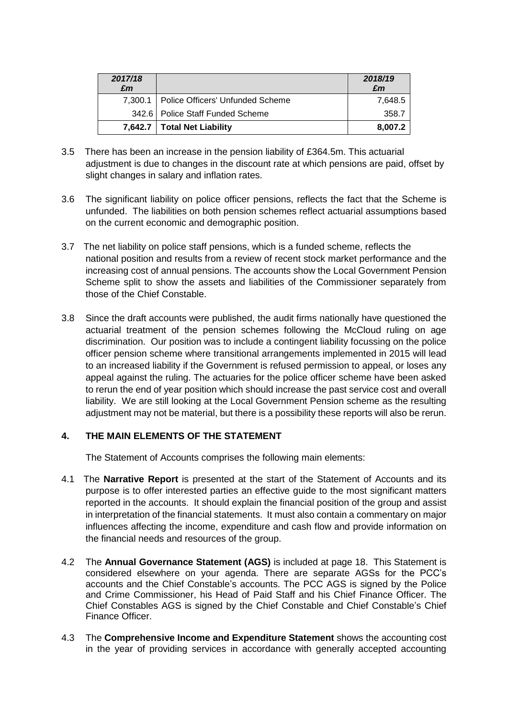| 2017/18<br>£m |                                            | 2018/19<br>£m |
|---------------|--------------------------------------------|---------------|
|               | 7,300.1   Police Officers' Unfunded Scheme | 7,648.5       |
|               | 342.6   Police Staff Funded Scheme         | 358.7         |
|               | 7,642.7   Total Net Liability              | 8,007.2       |

- 3.5 There has been an increase in the pension liability of £364.5m. This actuarial adjustment is due to changes in the discount rate at which pensions are paid, offset by slight changes in salary and inflation rates.
- 3.6 The significant liability on police officer pensions, reflects the fact that the Scheme is unfunded. The liabilities on both pension schemes reflect actuarial assumptions based on the current economic and demographic position.
- 3.7 The net liability on police staff pensions, which is a funded scheme, reflects the national position and results from a review of recent stock market performance and the increasing cost of annual pensions. The accounts show the Local Government Pension Scheme split to show the assets and liabilities of the Commissioner separately from those of the Chief Constable.
- 3.8 Since the draft accounts were published, the audit firms nationally have questioned the actuarial treatment of the pension schemes following the McCloud ruling on age discrimination. Our position was to include a contingent liability focussing on the police officer pension scheme where transitional arrangements implemented in 2015 will lead to an increased liability if the Government is refused permission to appeal, or loses any appeal against the ruling. The actuaries for the police officer scheme have been asked to rerun the end of year position which should increase the past service cost and overall liability. We are still looking at the Local Government Pension scheme as the resulting adjustment may not be material, but there is a possibility these reports will also be rerun.

#### **4. THE MAIN ELEMENTS OF THE STATEMENT**

The Statement of Accounts comprises the following main elements:

- 4.1 The **Narrative Report** is presented at the start of the Statement of Accounts and its purpose is to offer interested parties an effective guide to the most significant matters reported in the accounts. It should explain the financial position of the group and assist in interpretation of the financial statements. It must also contain a commentary on major influences affecting the income, expenditure and cash flow and provide information on the financial needs and resources of the group.
- 4.2 The **Annual Governance Statement (AGS)** is included at page 18. This Statement is considered elsewhere on your agenda. There are separate AGSs for the PCC's accounts and the Chief Constable's accounts. The PCC AGS is signed by the Police and Crime Commissioner, his Head of Paid Staff and his Chief Finance Officer. The Chief Constables AGS is signed by the Chief Constable and Chief Constable's Chief Finance Officer.
- 4.3 The **Comprehensive Income and Expenditure Statement** shows the accounting cost in the year of providing services in accordance with generally accepted accounting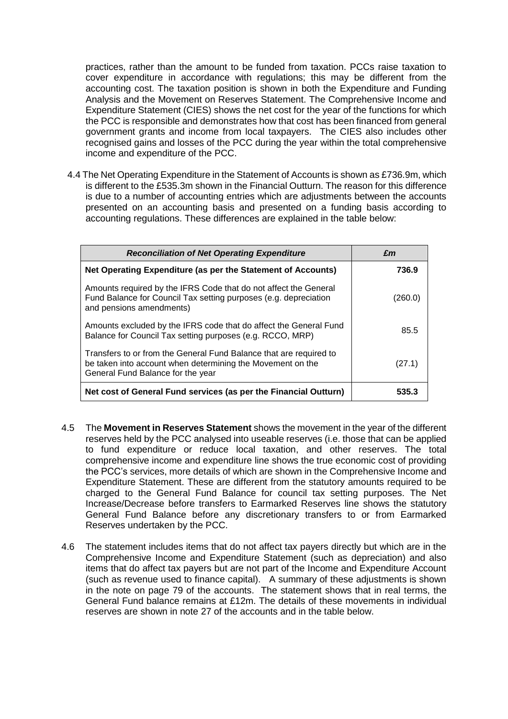practices, rather than the amount to be funded from taxation. PCCs raise taxation to cover expenditure in accordance with regulations; this may be different from the accounting cost. The taxation position is shown in both the Expenditure and Funding Analysis and the Movement on Reserves Statement. The Comprehensive Income and Expenditure Statement (CIES) shows the net cost for the year of the functions for which the PCC is responsible and demonstrates how that cost has been financed from general government grants and income from local taxpayers. The CIES also includes other recognised gains and losses of the PCC during the year within the total comprehensive income and expenditure of the PCC.

4.4 The Net Operating Expenditure in the Statement of Accounts is shown as £736.9m, which is different to the £535.3m shown in the Financial Outturn. The reason for this difference is due to a number of accounting entries which are adjustments between the accounts presented on an accounting basis and presented on a funding basis according to accounting regulations. These differences are explained in the table below:

| <b>Reconciliation of Net Operating Expenditure</b>                                                                                                                    | £m      |  |
|-----------------------------------------------------------------------------------------------------------------------------------------------------------------------|---------|--|
| Net Operating Expenditure (as per the Statement of Accounts)                                                                                                          | 736.9   |  |
| Amounts required by the IFRS Code that do not affect the General<br>Fund Balance for Council Tax setting purposes (e.g. depreciation<br>and pensions amendments)      | (260.0) |  |
| Amounts excluded by the IFRS code that do affect the General Fund<br>Balance for Council Tax setting purposes (e.g. RCCO, MRP)                                        | 85.5    |  |
| Transfers to or from the General Fund Balance that are required to<br>be taken into account when determining the Movement on the<br>General Fund Balance for the year | (27.1)  |  |
| Net cost of General Fund services (as per the Financial Outturn)                                                                                                      | 535.3   |  |

- 4.5 The **Movement in Reserves Statement** shows the movement in the year of the different reserves held by the PCC analysed into useable reserves (i.e. those that can be applied to fund expenditure or reduce local taxation, and other reserves. The total comprehensive income and expenditure line shows the true economic cost of providing the PCC's services, more details of which are shown in the Comprehensive Income and Expenditure Statement. These are different from the statutory amounts required to be charged to the General Fund Balance for council tax setting purposes. The Net Increase/Decrease before transfers to Earmarked Reserves line shows the statutory General Fund Balance before any discretionary transfers to or from Earmarked Reserves undertaken by the PCC.
- 4.6 The statement includes items that do not affect tax payers directly but which are in the Comprehensive Income and Expenditure Statement (such as depreciation) and also items that do affect tax payers but are not part of the Income and Expenditure Account (such as revenue used to finance capital). A summary of these adjustments is shown in the note on page 79 of the accounts. The statement shows that in real terms, the General Fund balance remains at £12m. The details of these movements in individual reserves are shown in note 27 of the accounts and in the table below.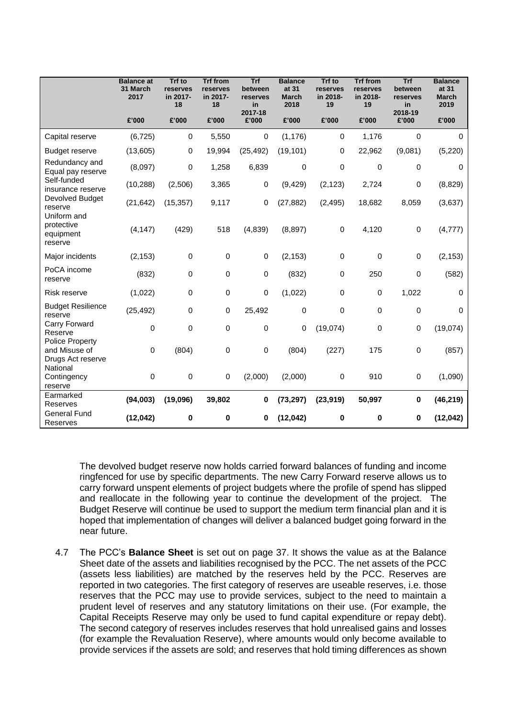|                                                              | <b>Balance</b> at<br>31 March<br>2017 | <b>Trf</b> to<br>reserves<br>in 2017-<br>18 | <b>Trf from</b><br>reserves<br>in 2017-<br>18 | <b>Trf</b><br>between<br>reserves<br>in | <b>Balance</b><br>at 31<br>March<br>2018 | <b>Trf</b> to<br>reserves<br>in 2018-<br>19 | <b>Trf from</b><br>reserves<br>in 2018-<br>19 | Trf<br>between<br>reserves<br>in | <b>Balance</b><br>at 31<br><b>March</b><br>2019 |
|--------------------------------------------------------------|---------------------------------------|---------------------------------------------|-----------------------------------------------|-----------------------------------------|------------------------------------------|---------------------------------------------|-----------------------------------------------|----------------------------------|-------------------------------------------------|
|                                                              | £'000                                 | £'000                                       | £'000                                         | 2017-18<br>£'000                        | £'000                                    | £'000                                       | £'000                                         | 2018-19<br>£'000                 | £'000                                           |
| Capital reserve                                              | (6, 725)                              | 0                                           | 5,550                                         | 0                                       | (1, 176)                                 | $\Omega$                                    | 1,176                                         | $\mathbf 0$                      | $\Omega$                                        |
| <b>Budget reserve</b>                                        | (13,605)                              | 0                                           | 19,994                                        | (25, 492)                               | (19, 101)                                | 0                                           | 22,962                                        | (9,081)                          | (5, 220)                                        |
| Redundancy and<br>Equal pay reserve                          | (8,097)                               | 0                                           | 1,258                                         | 6,839                                   | 0                                        | 0                                           | $\Omega$                                      | 0                                | 0                                               |
| Self-funded<br>insurance reserve                             | (10, 288)                             | (2,506)                                     | 3,365                                         | 0                                       | (9, 429)                                 | (2, 123)                                    | 2,724                                         | 0                                | (8,829)                                         |
| Devolved Budget<br>reserve<br>Uniform and                    | (21, 642)                             | (15, 357)                                   | 9,117                                         | 0                                       | (27, 882)                                | (2, 495)                                    | 18,682                                        | 8,059                            | (3,637)                                         |
| protective<br>equipment<br>reserve                           | (4, 147)                              | (429)                                       | 518                                           | (4,839)                                 | (8, 897)                                 | 0                                           | 4,120                                         | $\mathbf 0$                      | (4, 777)                                        |
| Major incidents                                              | (2, 153)                              | 0                                           | 0                                             | $\mathbf 0$                             | (2, 153)                                 | 0                                           | $\mathbf 0$                                   | $\pmb{0}$                        | (2, 153)                                        |
| PoCA income<br>reserve                                       | (832)                                 | $\mathbf 0$                                 | $\mathbf 0$                                   | 0                                       | (832)                                    | 0                                           | 250                                           | 0                                | (582)                                           |
| Risk reserve                                                 | (1,022)                               | 0                                           | 0                                             | 0                                       | (1,022)                                  | 0                                           | $\pmb{0}$                                     | 1,022                            | $\mathbf 0$                                     |
| <b>Budget Resilience</b><br>reserve                          | (25, 492)                             | 0                                           | 0                                             | 25,492                                  | 0                                        | 0                                           | $\mathbf 0$                                   | 0                                | 0                                               |
| Carry Forward<br>Reserve                                     | 0                                     | 0                                           | 0                                             | 0                                       | 0                                        | (19,074)                                    | 0                                             | 0                                | (19,074)                                        |
| <b>Police Property</b><br>and Misuse of<br>Drugs Act reserve | $\Omega$                              | (804)                                       | 0                                             | $\mathbf 0$                             | (804)                                    | (227)                                       | 175                                           | $\pmb{0}$                        | (857)                                           |
| National<br>Contingency<br>reserve                           | $\mathbf 0$                           | $\mathbf 0$                                 | 0                                             | (2,000)                                 | (2,000)                                  | 0                                           | 910                                           | 0                                | (1,090)                                         |
| Earmarked<br>Reserves                                        | (94,003)                              | (19,096)                                    | 39,802                                        | 0                                       | (73, 297)                                | (23, 919)                                   | 50,997                                        | 0                                | (46, 219)                                       |
| <b>General Fund</b><br>Reserves                              | (12, 042)                             | 0                                           | 0                                             | 0                                       | (12, 042)                                | 0                                           | $\bf{0}$                                      | 0                                | (12, 042)                                       |

The devolved budget reserve now holds carried forward balances of funding and income ringfenced for use by specific departments. The new Carry Forward reserve allows us to carry forward unspent elements of project budgets where the profile of spend has slipped and reallocate in the following year to continue the development of the project. The Budget Reserve will continue be used to support the medium term financial plan and it is hoped that implementation of changes will deliver a balanced budget going forward in the near future.

4.7 The PCC's **Balance Sheet** is set out on page 37. It shows the value as at the Balance Sheet date of the assets and liabilities recognised by the PCC. The net assets of the PCC (assets less liabilities) are matched by the reserves held by the PCC. Reserves are reported in two categories. The first category of reserves are useable reserves, i.e. those reserves that the PCC may use to provide services, subject to the need to maintain a prudent level of reserves and any statutory limitations on their use. (For example, the Capital Receipts Reserve may only be used to fund capital expenditure or repay debt). The second category of reserves includes reserves that hold unrealised gains and losses (for example the Revaluation Reserve), where amounts would only become available to provide services if the assets are sold; and reserves that hold timing differences as shown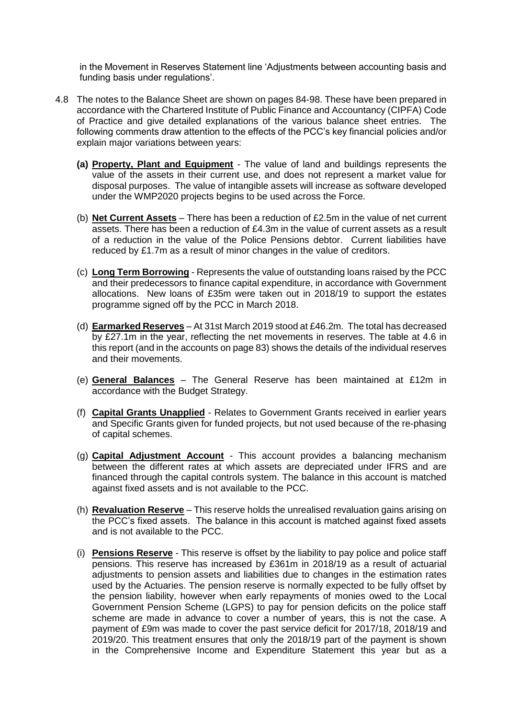in the Movement in Reserves Statement line 'Adjustments between accounting basis and funding basis under regulations'.

- 4.8 The notes to the Balance Sheet are shown on pages 84-98. These have been prepared in accordance with the Chartered Institute of Public Finance and Accountancy (CIPFA) Code of Practice and give detailed explanations of the various balance sheet entries. The following comments draw attention to the effects of the PCC's key financial policies and/or explain major variations between years:
	- **(a) Property, Plant and Equipment** The value of land and buildings represents the value of the assets in their current use, and does not represent a market value for disposal purposes. The value of intangible assets will increase as software developed under the WMP2020 projects begins to be used across the Force.
	- (b) **Net Current Assets** There has been a reduction of £2.5m in the value of net current assets. There has been a reduction of £4.3m in the value of current assets as a result of a reduction in the value of the Police Pensions debtor. Current liabilities have reduced by £1.7m as a result of minor changes in the value of creditors.
	- (c) **Long Term Borrowing** Represents the value of outstanding loans raised by the PCC and their predecessors to finance capital expenditure, in accordance with Government allocations. New loans of £35m were taken out in 2018/19 to support the estates programme signed off by the PCC in March 2018.
	- (d) **Earmarked Reserves** At 31st March 2019 stood at £46.2m. The total has decreased by £27.1m in the year, reflecting the net movements in reserves. The table at 4.6 in this report (and in the accounts on page 83) shows the details of the individual reserves and their movements.
	- (e) **General Balances** The General Reserve has been maintained at £12m in accordance with the Budget Strategy.
	- (f) **Capital Grants Unapplied** Relates to Government Grants received in earlier years and Specific Grants given for funded projects, but not used because of the re-phasing of capital schemes.
	- (g) **Capital Adjustment Account** This account provides a balancing mechanism between the different rates at which assets are depreciated under IFRS and are financed through the capital controls system. The balance in this account is matched against fixed assets and is not available to the PCC.
	- (h) **Revaluation Reserve** This reserve holds the unrealised revaluation gains arising on the PCC's fixed assets. The balance in this account is matched against fixed assets and is not available to the PCC.
	- (i) **Pensions Reserve** This reserve is offset by the liability to pay police and police staff pensions. This reserve has increased by £361m in 2018/19 as a result of actuarial adjustments to pension assets and liabilities due to changes in the estimation rates used by the Actuaries. The pension reserve is normally expected to be fully offset by the pension liability, however when early repayments of monies owed to the Local Government Pension Scheme (LGPS) to pay for pension deficits on the police staff scheme are made in advance to cover a number of years, this is not the case. A payment of £9m was made to cover the past service deficit for 2017/18, 2018/19 and 2019/20. This treatment ensures that only the 2018/19 part of the payment is shown in the Comprehensive Income and Expenditure Statement this year but as a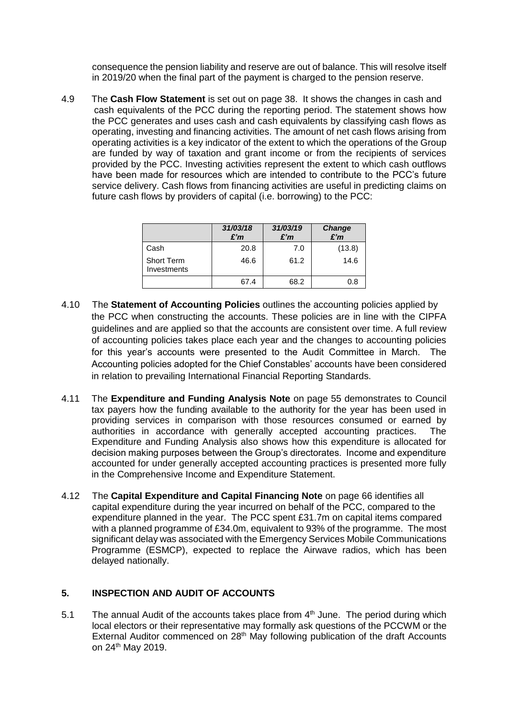consequence the pension liability and reserve are out of balance. This will resolve itself in 2019/20 when the final part of the payment is charged to the pension reserve.

4.9 The **Cash Flow Statement** is set out on page 38. It shows the changes in cash and cash equivalents of the PCC during the reporting period. The statement shows how the PCC generates and uses cash and cash equivalents by classifying cash flows as operating, investing and financing activities. The amount of net cash flows arising from operating activities is a key indicator of the extent to which the operations of the Group are funded by way of taxation and grant income or from the recipients of services provided by the PCC. Investing activities represent the extent to which cash outflows have been made for resources which are intended to contribute to the PCC's future service delivery. Cash flows from financing activities are useful in predicting claims on future cash flows by providers of capital (i.e. borrowing) to the PCC:

|                                  | 31/03/18<br>£'m | 31/03/19<br>£'m | Change<br>E'm |
|----------------------------------|-----------------|-----------------|---------------|
| Cash                             | 20.8            | 7.0             | (13.8)        |
| <b>Short Term</b><br>Investments | 46.6            | 61.2            | 14.6          |
|                                  | 67.4            | 68.2            | 0.8           |

- 4.10 The **Statement of Accounting Policies** outlines the accounting policies applied by the PCC when constructing the accounts. These policies are in line with the CIPFA guidelines and are applied so that the accounts are consistent over time. A full review of accounting policies takes place each year and the changes to accounting policies for this year's accounts were presented to the Audit Committee in March. The Accounting policies adopted for the Chief Constables' accounts have been considered in relation to prevailing International Financial Reporting Standards.
- 4.11 The **Expenditure and Funding Analysis Note** on page 55 demonstrates to Council tax payers how the funding available to the authority for the year has been used in providing services in comparison with those resources consumed or earned by authorities in accordance with generally accepted accounting practices. The Expenditure and Funding Analysis also shows how this expenditure is allocated for decision making purposes between the Group's directorates. Income and expenditure accounted for under generally accepted accounting practices is presented more fully in the Comprehensive Income and Expenditure Statement.
- 4.12 The **Capital Expenditure and Capital Financing Note** on page 66 identifies all capital expenditure during the year incurred on behalf of the PCC, compared to the expenditure planned in the year. The PCC spent £31.7m on capital items compared with a planned programme of £34.0m, equivalent to 93% of the programme. The most significant delay was associated with the Emergency Services Mobile Communications Programme (ESMCP), expected to replace the Airwave radios, which has been delayed nationally.

#### **5. INSPECTION AND AUDIT OF ACCOUNTS**

5.1 The annual Audit of the accounts takes place from  $4<sup>th</sup>$  June. The period during which local electors or their representative may formally ask questions of the PCCWM or the External Auditor commenced on 28<sup>th</sup> May following publication of the draft Accounts on 24th May 2019.